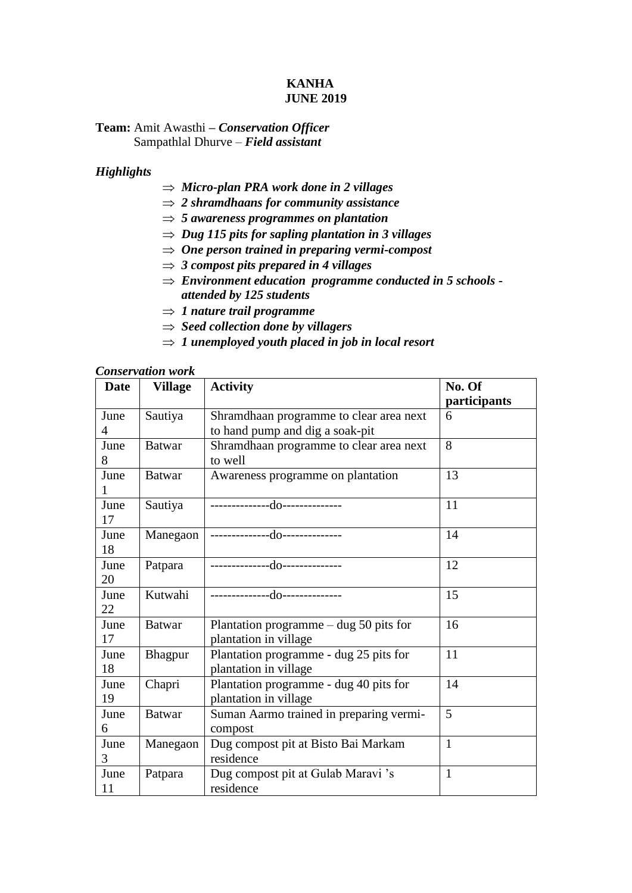### **KANHA JUNE 2019**

## **Team:** Amit Awasthi **–** *Conservation Officer* Sampathlal Dhurve – *Field assistant*

## *Highlights*

- *Micro-plan PRA work done in 2 villages*
- *2 shramdhaans for community assistance*
- *5 awareness programmes on plantation*
- *Dug 115 pits for sapling plantation in 3 villages*
- *One person trained in preparing vermi-compost*
- $\Rightarrow$  3 *compost pits prepared in 4 villages*
- *Environment education programme conducted in 5 schools attended by 125 students*
- $\Rightarrow$  *1* nature trail programme
- *Seed collection done by villagers*
- $\Rightarrow$  1 unemployed youth placed in job in local resort

| <b>Conservation work</b> |
|--------------------------|
|--------------------------|

| <b>Date</b> | <b>Village</b> | <b>Activity</b>                          | No. Of         |  |
|-------------|----------------|------------------------------------------|----------------|--|
|             |                |                                          | participants   |  |
| June        | Sautiya        | Shramdhaan programme to clear area next  | 6              |  |
| 4           |                | to hand pump and dig a soak-pit          |                |  |
| June        | <b>Batwar</b>  | Shramdhaan programme to clear area next  | 8              |  |
| 8           |                | to well                                  |                |  |
| June        | <b>Batwar</b>  | Awareness programme on plantation        | 13             |  |
|             |                |                                          |                |  |
| June        | Sautiya        | --------------do--------------           | 11             |  |
| 17          |                |                                          |                |  |
| June        | Manegaon       | --------------do--------------           | 14             |  |
| 18          |                |                                          |                |  |
| June        | Patpara        | --------------do--------------           | 12             |  |
| 20          |                |                                          |                |  |
| June        | Kutwahi        | --------------do--------------           | 15             |  |
| 22          |                |                                          |                |  |
| June        | <b>Batwar</b>  | Plantation programme $-$ dug 50 pits for | 16             |  |
| 17          |                | plantation in village                    |                |  |
| June        | Bhagpur        | Plantation programme - dug 25 pits for   | 11             |  |
| 18          |                | plantation in village                    |                |  |
| June        | Chapri         | Plantation programme - dug 40 pits for   | 14             |  |
| 19          |                | plantation in village                    |                |  |
| June        | <b>Batwar</b>  | Suman Aarmo trained in preparing vermi-  | $\overline{5}$ |  |
| 6           |                | compost                                  |                |  |
| June        | Manegaon       | Dug compost pit at Bisto Bai Markam      | $\mathbf{1}$   |  |
| 3           |                | residence                                |                |  |
| June        | Patpara        | Dug compost pit at Gulab Maravi 's       | $\mathbf{1}$   |  |
| 11          |                | residence                                |                |  |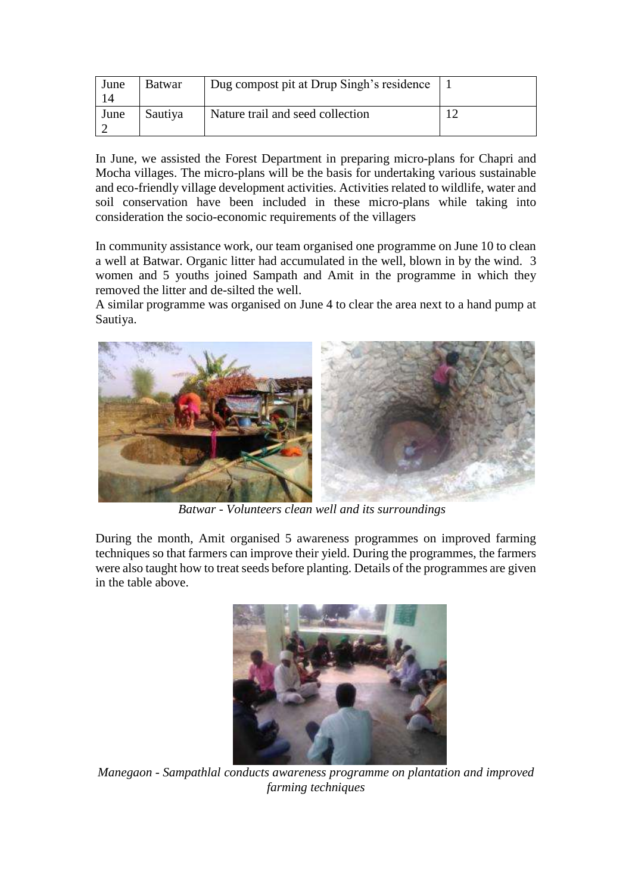| June | Batwar  | Dug compost pit at Drup Singh's residence |  |
|------|---------|-------------------------------------------|--|
| June | Sautiya | Nature trail and seed collection          |  |

In June, we assisted the Forest Department in preparing micro-plans for Chapri and Mocha villages. The micro-plans will be the basis for undertaking various sustainable and eco-friendly village development activities. Activities related to wildlife, water and soil conservation have been included in these micro-plans while taking into consideration the socio-economic requirements of the villagers

In community assistance work, our team organised one programme on June 10 to clean a well at Batwar. Organic litter had accumulated in the well, blown in by the wind. 3 women and 5 youths joined Sampath and Amit in the programme in which they removed the litter and de-silted the well.

A similar programme was organised on June 4 to clear the area next to a hand pump at Sautiya.



 *Batwar - Volunteers clean well and its surroundings* 

During the month, Amit organised 5 awareness programmes on improved farming techniques so that farmers can improve their yield. During the programmes, the farmers were also taught how to treat seeds before planting. Details of the programmes are given in the table above.



*Manegaon - Sampathlal conducts awareness programme on plantation and improved farming techniques*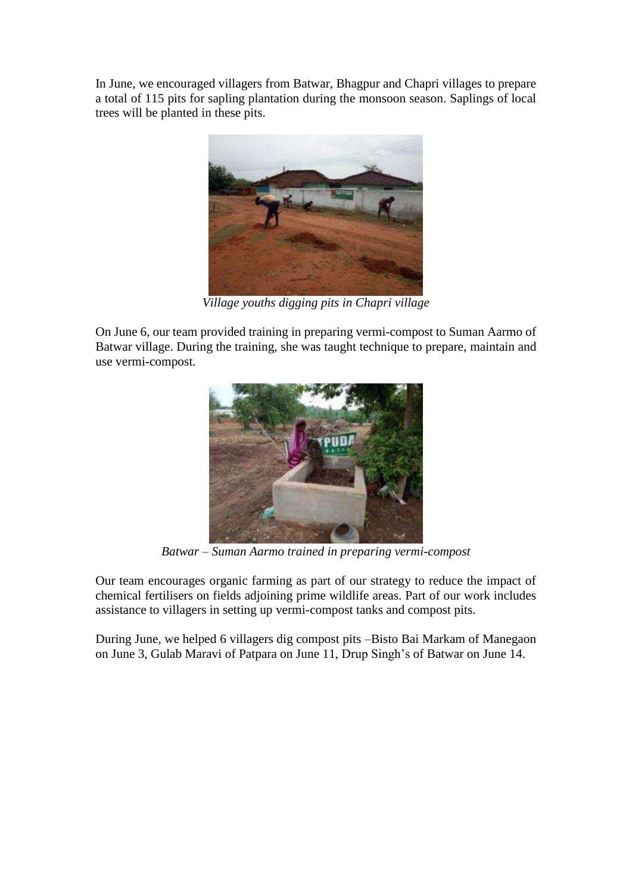In June, we encouraged villagers from Batwar, Bhagpur and Chapri villages to prepare a total of 115 pits for sapling plantation during the monsoon season. Saplings of local trees will be planted in these pits.



*Village youths digging pits in Chapri village*

On June 6, our team provided training in preparing vermi-compost to Suman Aarmo of Batwar village. During the training, she was taught technique to prepare, maintain and use vermi-compost.



*Batwar – Suman Aarmo trained in preparing vermi-compost*

Our team encourages organic farming as part of our strategy to reduce the impact of chemical fertilisers on fields adjoining prime wildlife areas. Part of our work includes assistance to villagers in setting up vermi-compost tanks and compost pits.

During June, we helped 6 villagers dig compost pits –Bisto Bai Markam of Manegaon on June 3, Gulab Maravi of Patpara on June 11, Drup Singh's of Batwar on June 14.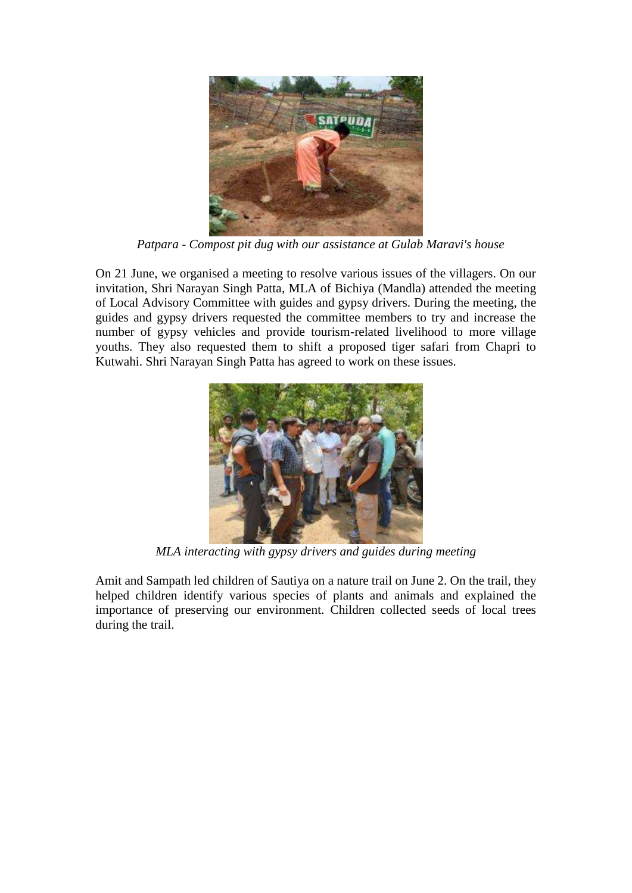

 *Patpara - Compost pit dug with our assistance at Gulab Maravi's house*

On 21 June, we organised a meeting to resolve various issues of the villagers. On our invitation, Shri Narayan Singh Patta, MLA of Bichiya (Mandla) attended the meeting of Local Advisory Committee with guides and gypsy drivers. During the meeting, the guides and gypsy drivers requested the committee members to try and increase the number of gypsy vehicles and provide tourism-related livelihood to more village youths. They also requested them to shift a proposed tiger safari from Chapri to Kutwahi. Shri Narayan Singh Patta has agreed to work on these issues.



*MLA interacting with gypsy drivers and guides during meeting*

Amit and Sampath led children of Sautiya on a nature trail on June 2. On the trail, they helped children identify various species of plants and animals and explained the importance of preserving our environment. Children collected seeds of local trees during the trail.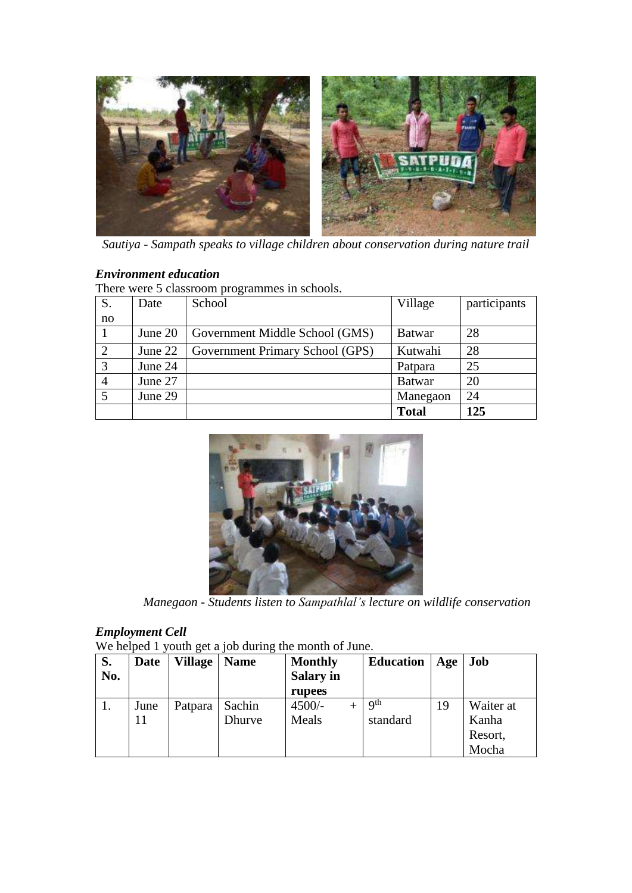

*Sautiya - Sampath speaks to village children about conservation during nature trail*

# *Environment education*

There were 5 classroom programmes in schools.

| S.             | Date    | School                          | Village       | participants |
|----------------|---------|---------------------------------|---------------|--------------|
| no             |         |                                 |               |              |
|                | June 20 | Government Middle School (GMS)  | <b>Batwar</b> | 28           |
| 2              | June 22 | Government Primary School (GPS) | Kutwahi       | 28           |
| $\overline{3}$ | June 24 |                                 | Patpara       | 25           |
|                | June 27 |                                 | <b>Batwar</b> | 20           |
| 5              | June 29 |                                 | Manegaon      | 24           |
|                |         |                                 | <b>Total</b>  | 125          |



 *Manegaon - Students listen to Sampathlal's lecture on wildlife conservation*

## *Employment Cell*

We helped 1 youth get a job during the month of June.

| S.  | <b>Date</b> | <b>Village</b> | <b>Name</b> | <b>Monthly</b>   | <b>Education</b> | Age | Job       |
|-----|-------------|----------------|-------------|------------------|------------------|-----|-----------|
| No. |             |                |             | <b>Salary in</b> |                  |     |           |
|     |             |                |             | rupees           |                  |     |           |
| 1.  | June        | Patpara        | Sachin      | $4500/-$         | Q <sup>th</sup>  | 19  | Waiter at |
|     | 11          |                | Dhurve      | Meals            | standard         |     | Kanha     |
|     |             |                |             |                  |                  |     | Resort,   |
|     |             |                |             |                  |                  |     | Mocha     |